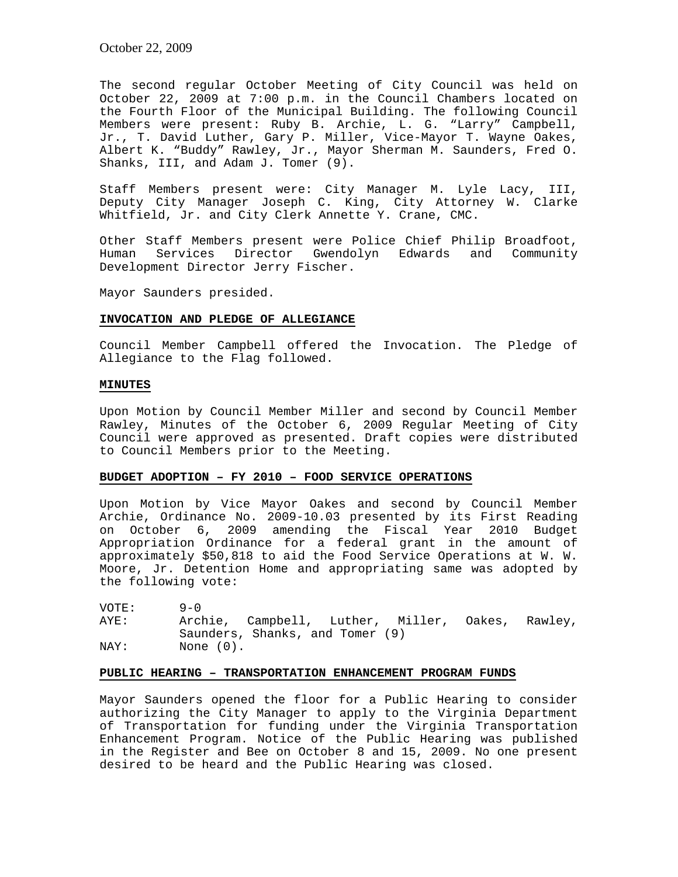The second regular October Meeting of City Council was held on October 22, 2009 at 7:00 p.m. in the Council Chambers located on the Fourth Floor of the Municipal Building. The following Council Members were present: Ruby B. Archie, L. G. "Larry" Campbell, Jr., T. David Luther, Gary P. Miller, Vice-Mayor T. Wayne Oakes, Albert K. "Buddy" Rawley, Jr., Mayor Sherman M. Saunders, Fred O. Shanks, III, and Adam J. Tomer (9).

Staff Members present were: City Manager M. Lyle Lacy, III, Deputy City Manager Joseph C. King, City Attorney W. Clarke Whitfield, Jr. and City Clerk Annette Y. Crane, CMC.

Other Staff Members present were Police Chief Philip Broadfoot, Human Services Director Gwendolyn Edwards and Community Development Director Jerry Fischer.

Mayor Saunders presided.

#### **INVOCATION AND PLEDGE OF ALLEGIANCE**

Council Member Campbell offered the Invocation. The Pledge of Allegiance to the Flag followed.

# **MINUTES**

Upon Motion by Council Member Miller and second by Council Member Rawley, Minutes of the October 6, 2009 Regular Meeting of City Council were approved as presented. Draft copies were distributed to Council Members prior to the Meeting.

# **BUDGET ADOPTION – FY 2010 – FOOD SERVICE OPERATIONS**

Upon Motion by Vice Mayor Oakes and second by Council Member Archie, Ordinance No. 2009-10.03 presented by its First Reading on October 6, 2009 amending the Fiscal Year 2010 Budget Appropriation Ordinance for a federal grant in the amount of approximately \$50,818 to aid the Food Service Operations at W. W. Moore, Jr. Detention Home and appropriating same was adopted by the following vote:

VOTE: 9-0<br>AYE: Arcl Archie, Campbell, Luther, Miller, Oakes, Rawley, Saunders, Shanks, and Tomer (9) NAY: None (0).

# **PUBLIC HEARING – TRANSPORTATION ENHANCEMENT PROGRAM FUNDS**

Mayor Saunders opened the floor for a Public Hearing to consider authorizing the City Manager to apply to the Virginia Department of Transportation for funding under the Virginia Transportation Enhancement Program. Notice of the Public Hearing was published in the Register and Bee on October 8 and 15, 2009. No one present desired to be heard and the Public Hearing was closed.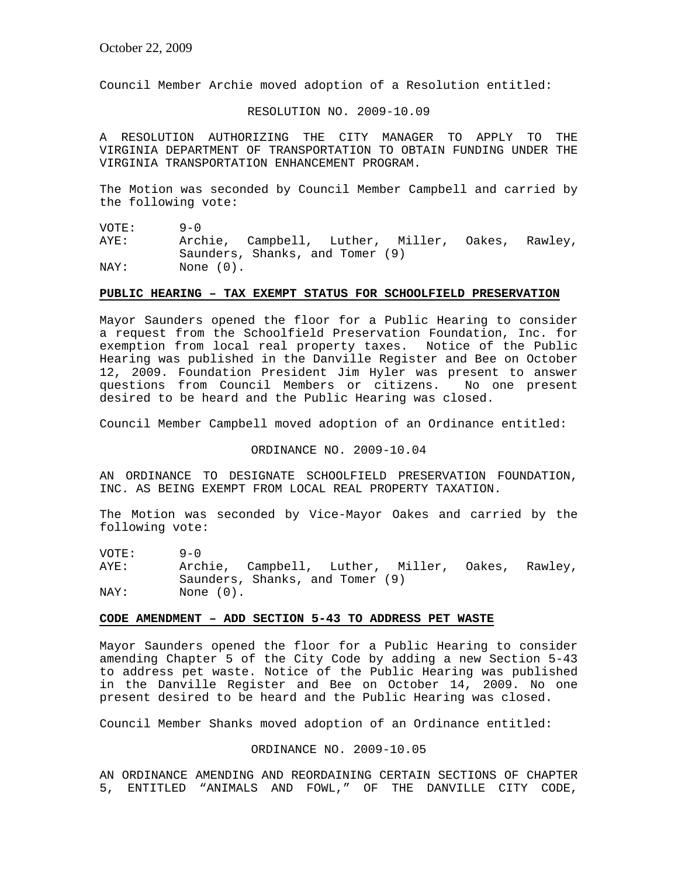Council Member Archie moved adoption of a Resolution entitled:

#### RESOLUTION NO. 2009-10.09

A RESOLUTION AUTHORIZING THE CITY MANAGER TO APPLY TO THE VIRGINIA DEPARTMENT OF TRANSPORTATION TO OBTAIN FUNDING UNDER THE VIRGINIA TRANSPORTATION ENHANCEMENT PROGRAM.

The Motion was seconded by Council Member Campbell and carried by the following vote:

VOTE: 9-0

AYE: Archie, Campbell, Luther, Miller, Oakes, Rawley, Saunders, Shanks, and Tomer (9) NAY: None  $(0)$ .

#### **PUBLIC HEARING – TAX EXEMPT STATUS FOR SCHOOLFIELD PRESERVATION**

Mayor Saunders opened the floor for a Public Hearing to consider a request from the Schoolfield Preservation Foundation, Inc. for exemption from local real property taxes. Notice of the Public Hearing was published in the Danville Register and Bee on October 12, 2009. Foundation President Jim Hyler was present to answer questions from Council Members or citizens. No one present desired to be heard and the Public Hearing was closed.

Council Member Campbell moved adoption of an Ordinance entitled:

ORDINANCE NO. 2009-10.04

AN ORDINANCE TO DESIGNATE SCHOOLFIELD PRESERVATION FOUNDATION, INC. AS BEING EXEMPT FROM LOCAL REAL PROPERTY TAXATION.

The Motion was seconded by Vice-Mayor Oakes and carried by the following vote:

VOTE: 9-0 AYE: Archie, Campbell, Luther, Miller, Oakes, Rawley, Saunders, Shanks, and Tomer (9) NAY: None  $(0)$ .

#### **CODE AMENDMENT – ADD SECTION 5-43 TO ADDRESS PET WASTE**

Mayor Saunders opened the floor for a Public Hearing to consider amending Chapter 5 of the City Code by adding a new Section 5-43 to address pet waste. Notice of the Public Hearing was published in the Danville Register and Bee on October 14, 2009. No one present desired to be heard and the Public Hearing was closed.

Council Member Shanks moved adoption of an Ordinance entitled:

#### ORDINANCE NO. 2009-10.05

AN ORDINANCE AMENDING AND REORDAINING CERTAIN SECTIONS OF CHAPTER 5, ENTITLED "ANIMALS AND FOWL," OF THE DANVILLE CITY CODE,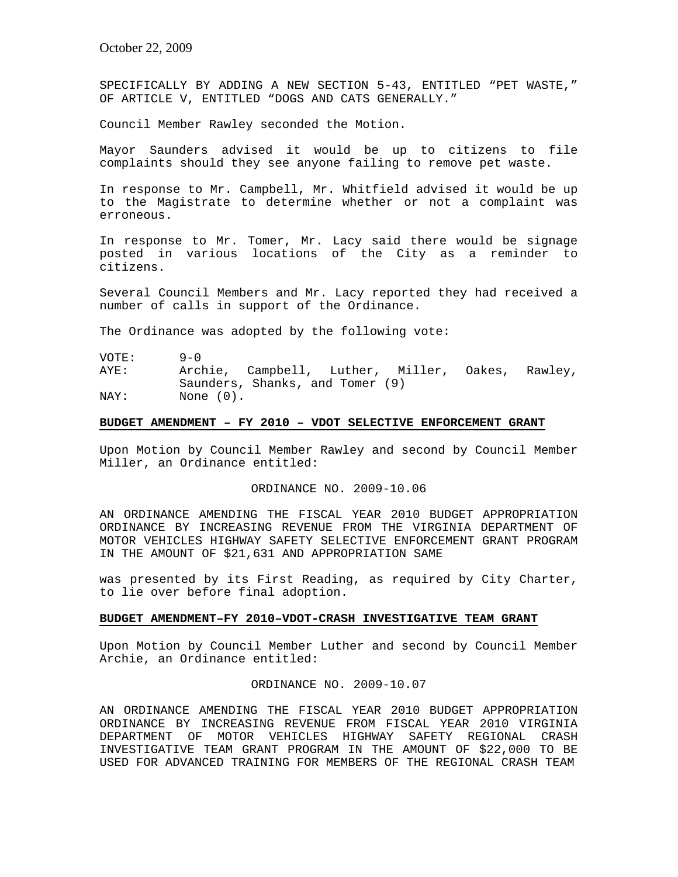SPECIFICALLY BY ADDING A NEW SECTION 5-43, ENTITLED "PET WASTE," OF ARTICLE V, ENTITLED "DOGS AND CATS GENERALLY."

Council Member Rawley seconded the Motion.

Mayor Saunders advised it would be up to citizens to file complaints should they see anyone failing to remove pet waste.

In response to Mr. Campbell, Mr. Whitfield advised it would be up to the Magistrate to determine whether or not a complaint was erroneous.

In response to Mr. Tomer, Mr. Lacy said there would be signage posted in various locations of the City as a reminder to citizens.

Several Council Members and Mr. Lacy reported they had received a number of calls in support of the Ordinance.

The Ordinance was adopted by the following vote:

VOTE: 9-0 AYE: Archie, Campbell, Luther, Miller, Oakes, Rawley, Saunders, Shanks, and Tomer (9) NAY: None (0).

# **BUDGET AMENDMENT – FY 2010 – VDOT SELECTIVE ENFORCEMENT GRANT**

Upon Motion by Council Member Rawley and second by Council Member Miller, an Ordinance entitled:

ORDINANCE NO. 2009-10.06

AN ORDINANCE AMENDING THE FISCAL YEAR 2010 BUDGET APPROPRIATION ORDINANCE BY INCREASING REVENUE FROM THE VIRGINIA DEPARTMENT OF MOTOR VEHICLES HIGHWAY SAFETY SELECTIVE ENFORCEMENT GRANT PROGRAM IN THE AMOUNT OF \$21,631 AND APPROPRIATION SAME

was presented by its First Reading, as required by City Charter, to lie over before final adoption.

#### **BUDGET AMENDMENT–FY 2010–VDOT-CRASH INVESTIGATIVE TEAM GRANT**

Upon Motion by Council Member Luther and second by Council Member Archie, an Ordinance entitled:

ORDINANCE NO. 2009-10.07

AN ORDINANCE AMENDING THE FISCAL YEAR 2010 BUDGET APPROPRIATION ORDINANCE BY INCREASING REVENUE FROM FISCAL YEAR 2010 VIRGINIA DEPARTMENT OF MOTOR VEHICLES HIGHWAY SAFETY REGIONAL CRASH INVESTIGATIVE TEAM GRANT PROGRAM IN THE AMOUNT OF \$22,000 TO BE USED FOR ADVANCED TRAINING FOR MEMBERS OF THE REGIONAL CRASH TEAM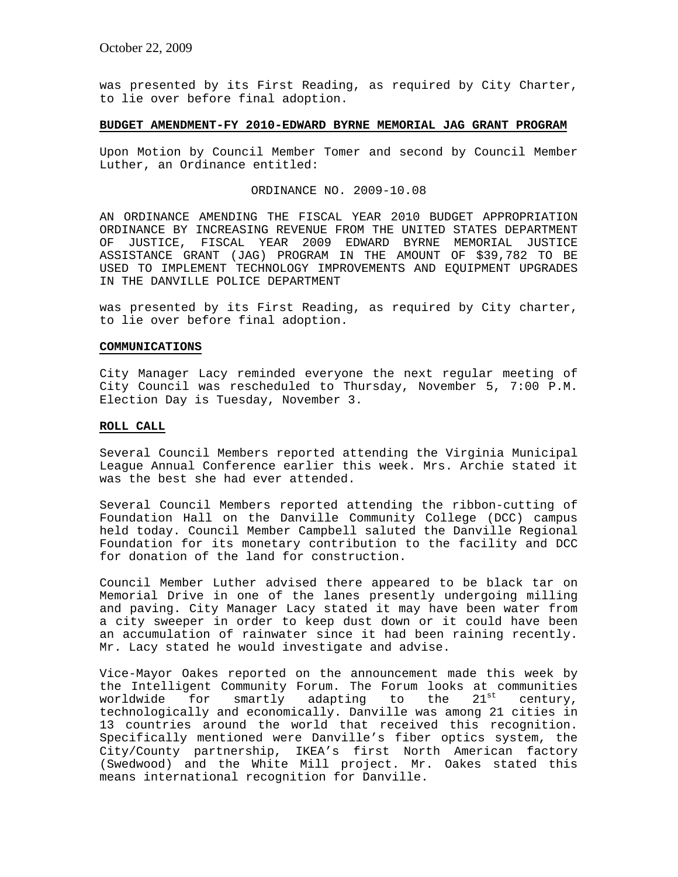was presented by its First Reading, as required by City Charter, to lie over before final adoption.

# **BUDGET AMENDMENT-FY 2010-EDWARD BYRNE MEMORIAL JAG GRANT PROGRAM**

Upon Motion by Council Member Tomer and second by Council Member Luther, an Ordinance entitled:

#### ORDINANCE NO. 2009-10.08

AN ORDINANCE AMENDING THE FISCAL YEAR 2010 BUDGET APPROPRIATION ORDINANCE BY INCREASING REVENUE FROM THE UNITED STATES DEPARTMENT OF JUSTICE, FISCAL YEAR 2009 EDWARD BYRNE MEMORIAL JUSTICE ASSISTANCE GRANT (JAG) PROGRAM IN THE AMOUNT OF \$39,782 TO BE USED TO IMPLEMENT TECHNOLOGY IMPROVEMENTS AND EQUIPMENT UPGRADES IN THE DANVILLE POLICE DEPARTMENT

was presented by its First Reading, as required by City charter, to lie over before final adoption.

# **COMMUNICATIONS**

City Manager Lacy reminded everyone the next regular meeting of City Council was rescheduled to Thursday, November 5, 7:00 P.M. Election Day is Tuesday, November 3.

#### **ROLL CALL**

Several Council Members reported attending the Virginia Municipal League Annual Conference earlier this week. Mrs. Archie stated it was the best she had ever attended.

Several Council Members reported attending the ribbon-cutting of Foundation Hall on the Danville Community College (DCC) campus held today. Council Member Campbell saluted the Danville Regional Foundation for its monetary contribution to the facility and DCC for donation of the land for construction.

Council Member Luther advised there appeared to be black tar on Memorial Drive in one of the lanes presently undergoing milling and paving. City Manager Lacy stated it may have been water from a city sweeper in order to keep dust down or it could have been an accumulation of rainwater since it had been raining recently. Mr. Lacy stated he would investigate and advise.

Vice-Mayor Oakes reported on the announcement made this week by the Intelligent Community Forum. The Forum looks at communities worldwide for smartly adapting to the 21<sup>st</sup> century, technologically and economically. Danville was among 21 cities in 13 countries around the world that received this recognition. Specifically mentioned were Danville's fiber optics system, the City/County partnership, IKEA's first North American factory (Swedwood) and the White Mill project. Mr. Oakes stated this means international recognition for Danville.